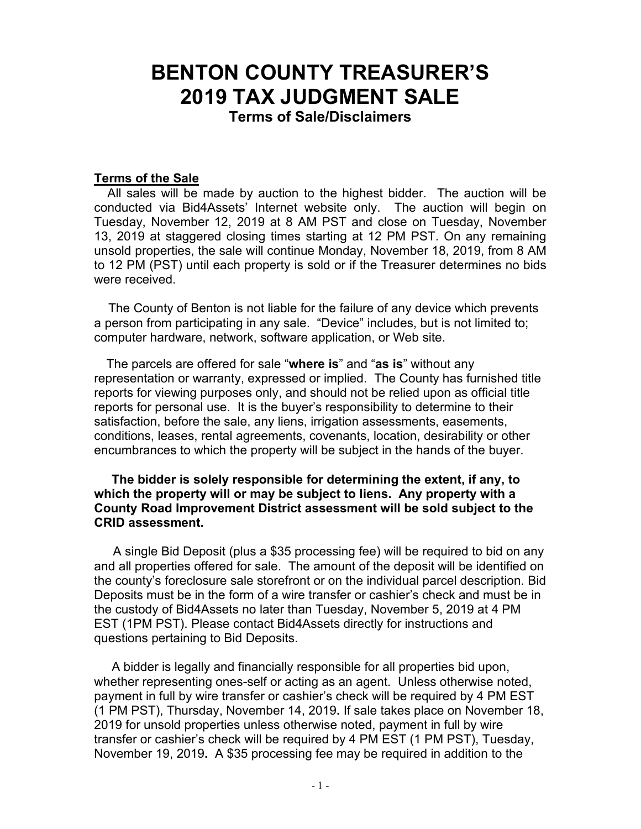# **BENTON COUNTY TREASURER'S 2019 TAX JUDGMENT SALE Terms of Sale/Disclaimers**

#### **Terms of the Sale**

 All sales will be made by auction to the highest bidder. The auction will be conducted via Bid4Assets' Internet website only. The auction will begin on Tuesday, November 12, 2019 at 8 AM PST and close on Tuesday, November 13, 2019 at staggered closing times starting at 12 PM PST. On any remaining unsold properties, the sale will continue Monday, November 18, 2019, from 8 AM to 12 PM (PST) until each property is sold or if the Treasurer determines no bids were received.

The County of Benton is not liable for the failure of any device which prevents a person from participating in any sale. "Device" includes, but is not limited to; computer hardware, network, software application, or Web site.

 The parcels are offered for sale "**where is**" and "**as is**" without any representation or warranty, expressed or implied. The County has furnished title reports for viewing purposes only, and should not be relied upon as official title reports for personal use. It is the buyer's responsibility to determine to their satisfaction, before the sale, any liens, irrigation assessments, easements, conditions, leases, rental agreements, covenants, location, desirability or other encumbrances to which the property will be subject in the hands of the buyer.

#### **The bidder is solely responsible for determining the extent, if any, to which the property will or may be subject to liens. Any property with a County Road Improvement District assessment will be sold subject to the CRID assessment.**

A single Bid Deposit (plus a \$35 processing fee) will be required to bid on any and all properties offered for sale. The amount of the deposit will be identified on the county's foreclosure sale storefront or on the individual parcel description. Bid Deposits must be in the form of a wire transfer or cashier's check and must be in the custody of Bid4Assets no later than Tuesday, November 5, 2019 at 4 PM EST (1PM PST). Please contact Bid4Assets directly for instructions and questions pertaining to Bid Deposits.

 A bidder is legally and financially responsible for all properties bid upon, whether representing ones-self or acting as an agent. Unless otherwise noted, payment in full by wire transfer or cashier's check will be required by 4 PM EST (1 PM PST), Thursday, November 14, 2019**.** If sale takes place on November 18, 2019 for unsold properties unless otherwise noted, payment in full by wire transfer or cashier's check will be required by 4 PM EST (1 PM PST), Tuesday, November 19, 2019**.** A \$35 processing fee may be required in addition to the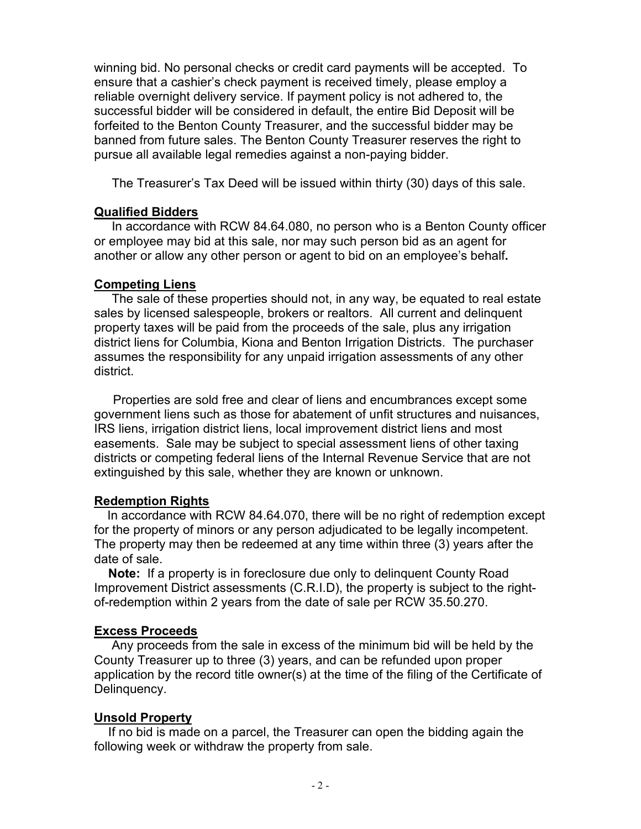winning bid. No personal checks or credit card payments will be accepted. To ensure that a cashier's check payment is received timely, please employ a reliable overnight delivery service. If payment policy is not adhered to, the successful bidder will be considered in default, the entire Bid Deposit will be forfeited to the Benton County Treasurer, and the successful bidder may be banned from future sales. The Benton County Treasurer reserves the right to pursue all available legal remedies against a non-paying bidder.

The Treasurer's Tax Deed will be issued within thirty (30) days of this sale.

## **Qualified Bidders**

In accordance with RCW 84.64.080, no person who is a Benton County officer or employee may bid at this sale, nor may such person bid as an agent for another or allow any other person or agent to bid on an employee's behalf**.** 

#### **Competing Liens**

The sale of these properties should not, in any way, be equated to real estate sales by licensed salespeople, brokers or realtors. All current and delinquent property taxes will be paid from the proceeds of the sale, plus any irrigation district liens for Columbia, Kiona and Benton Irrigation Districts. The purchaser assumes the responsibility for any unpaid irrigation assessments of any other district.

Properties are sold free and clear of liens and encumbrances except some government liens such as those for abatement of unfit structures and nuisances, IRS liens, irrigation district liens, local improvement district liens and most easements. Sale may be subject to special assessment liens of other taxing districts or competing federal liens of the Internal Revenue Service that are not extinguished by this sale, whether they are known or unknown.

## **Redemption Rights**

 In accordance with RCW 84.64.070, there will be no right of redemption except for the property of minors or any person adjudicated to be legally incompetent. The property may then be redeemed at any time within three (3) years after the date of sale.

 **Note:** If a property is in foreclosure due only to delinquent County Road Improvement District assessments (C.R.I.D), the property is subject to the rightof-redemption within 2 years from the date of sale per RCW 35.50.270.

## **Excess Proceeds**

 Any proceeds from the sale in excess of the minimum bid will be held by the County Treasurer up to three (3) years, and can be refunded upon proper application by the record title owner(s) at the time of the filing of the Certificate of Delinquency.

## **Unsold Property**

 If no bid is made on a parcel, the Treasurer can open the bidding again the following week or withdraw the property from sale.